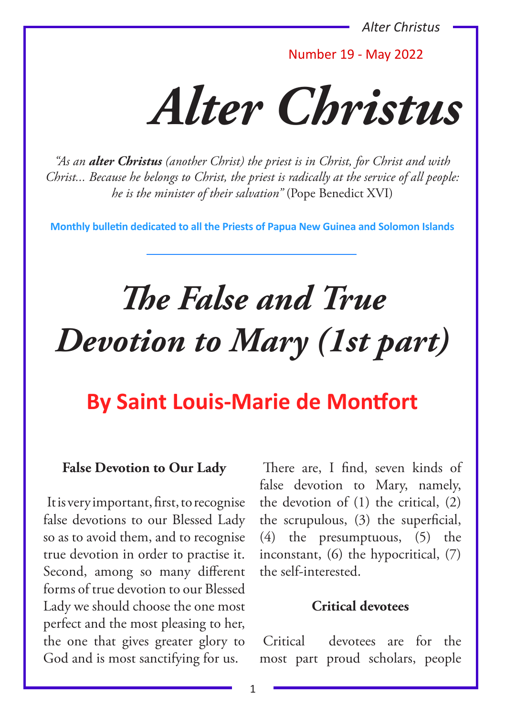*Alter Christus*

Number 19 - May 2022

*Alter Christus*

*"As an alter Christus (another Christ) the priest is in Christ, for Christ and with Christ... Because he belongs to Christ, the priest is radically at the service of all people: he is the minister of their salvation"* (Pope Benedict XVI)

**Monthly bulletin dedicated to all the Priests of Papua New Guinea and Solomon Islands**

# *The False and True Devotion to Mary (1st part)*

## **By Saint Louis-Marie de Montfort**

#### **False Devotion to Our Lady**

It is very important, first, to recognise false devotions to our Blessed Lady so as to avoid them, and to recognise true devotion in order to practise it. Second, among so many different forms of true devotion to our Blessed Lady we should choose the one most perfect and the most pleasing to her, the one that gives greater glory to God and is most sanctifying for us.

There are, I find, seven kinds of false devotion to Mary, namely, the devotion of (1) the critical, (2) the scrupulous, (3) the superficial, (4) the presumptuous, (5) the inconstant, (6) the hypocritical, (7) the self-interested.

#### **Critical devotees**

Critical devotees are for the most part proud scholars, people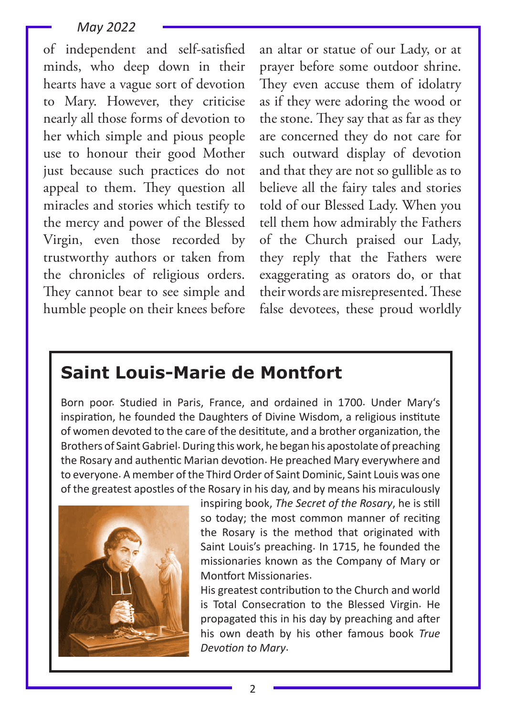of independent and self-satisfied minds, who deep down in their hearts have a vague sort of devotion to Mary. However, they criticise nearly all those forms of devotion to her which simple and pious people use to honour their good Mother just because such practices do not appeal to them. They question all miracles and stories which testify to the mercy and power of the Blessed Virgin, even those recorded by trustworthy authors or taken from the chronicles of religious orders. They cannot bear to see simple and humble people on their knees before

an altar or statue of our Lady, or at prayer before some outdoor shrine. They even accuse them of idolatry as if they were adoring the wood or the stone. They say that as far as they are concerned they do not care for such outward display of devotion and that they are not so gullible as to believe all the fairy tales and stories told of our Blessed Lady. When you tell them how admirably the Fathers of the Church praised our Lady, they reply that the Fathers were exaggerating as orators do, or that their words are misrepresented. These false devotees, these proud worldly

### **Saint Louis-Marie de Montfort**

Born poor. Studied in Paris, France, and ordained in 1700. Under Mary's inspiration, he founded the Daughters of Divine Wisdom, a religious institute of women devoted to the care of the desititute, and a brother organization, the Brothers of Saint Gabriel. During this work, he began his apostolate of preaching the Rosary and authentic Marian devotion. He preached Mary everywhere and to everyone. A member of the Third Order of Saint Dominic, Saint Louis was one of the greatest apostles of the Rosary in his day, and by means his miraculously



inspiring book, *The Secret of the Rosary*, he is still so today; the most common manner of reciting the Rosary is the method that originated with Saint Louis's preaching. In 1715, he founded the missionaries known as the Company of Mary or Montfort Missionaries.

His greatest contribution to the Church and world is Total Consecration to the Blessed Virgin. He propagated this in his day by preaching and after his own death by his other famous book *True Devotion to Mary*.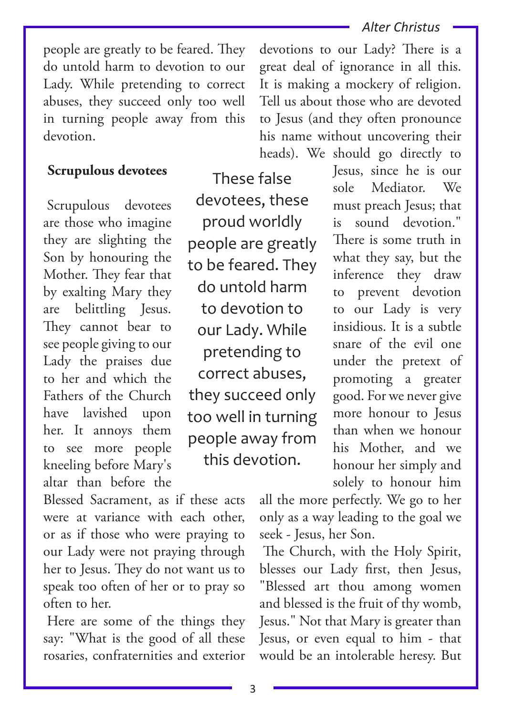people are greatly to be feared. They do untold harm to devotion to our Lady. While pretending to correct abuses, they succeed only too well in turning people away from this devotion.

#### **Scrupulous devotees**

Scrupulous devotees are those who imagine they are slighting the Son by honouring the Mother. They fear that by exalting Mary they are belittling Jesus. They cannot bear to see people giving to our Lady the praises due to her and which the Fathers of the Church have lavished upon her. It annoys them to see more people kneeling before Mary's altar than before the

These false devotees, these proud worldly people are greatly to be feared. They do untold harm to devotion to our Lady. While pretending to correct abuses, they succeed only too well in turning people away from this devotion.

devotions to our Lady? There is a great deal of ignorance in all this. It is making a mockery of religion. Tell us about those who are devoted to Jesus (and they often pronounce his name without uncovering their heads). We should go directly to

Jesus, since he is our sole Mediator. We must preach Jesus; that is sound devotion." There is some truth in what they say, but the inference they draw to prevent devotion to our Lady is very insidious. It is a subtle snare of the evil one under the pretext of promoting a greater good. For we never give more honour to Jesus than when we honour his Mother, and we honour her simply and solely to honour him

Blessed Sacrament, as if these acts were at variance with each other, or as if those who were praying to our Lady were not praying through her to Jesus. They do not want us to speak too often of her or to pray so often to her.

Here are some of the things they say: "What is the good of all these rosaries, confraternities and exterior

all the more perfectly. We go to her only as a way leading to the goal we seek - Jesus, her Son.

The Church, with the Holy Spirit, blesses our Lady first, then Jesus, "Blessed art thou among women and blessed is the fruit of thy womb, Jesus." Not that Mary is greater than Jesus, or even equal to him - that would be an intolerable heresy. But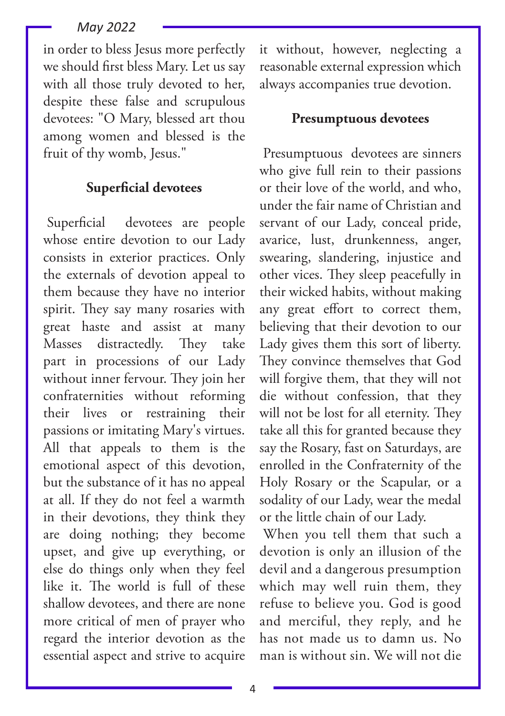in order to bless Jesus more perfectly we should first bless Mary. Let us say with all those truly devoted to her, despite these false and scrupulous devotees: "O Mary, blessed art thou among women and blessed is the fruit of thy womb, Jesus."

#### **Superficial devotees**

Superficial devotees are people whose entire devotion to our Lady consists in exterior practices. Only the externals of devotion appeal to them because they have no interior spirit. They say many rosaries with great haste and assist at many Masses distractedly. They take part in processions of our Lady without inner fervour. They join her confraternities without reforming their lives or restraining their passions or imitating Mary's virtues. All that appeals to them is the emotional aspect of this devotion, but the substance of it has no appeal at all. If they do not feel a warmth in their devotions, they think they are doing nothing; they become upset, and give up everything, or else do things only when they feel like it. The world is full of these shallow devotees, and there are none more critical of men of prayer who regard the interior devotion as the essential aspect and strive to acquire

it without, however, neglecting a reasonable external expression which always accompanies true devotion.

#### **Presumptuous devotees**

Presumptuous devotees are sinners who give full rein to their passions or their love of the world, and who, under the fair name of Christian and servant of our Lady, conceal pride, avarice, lust, drunkenness, anger, swearing, slandering, injustice and other vices. They sleep peacefully in their wicked habits, without making any great effort to correct them, believing that their devotion to our Lady gives them this sort of liberty. They convince themselves that God will forgive them, that they will not die without confession, that they will not be lost for all eternity. They take all this for granted because they say the Rosary, fast on Saturdays, are enrolled in the Confraternity of the Holy Rosary or the Scapular, or a sodality of our Lady, wear the medal or the little chain of our Lady.

When you tell them that such a devotion is only an illusion of the devil and a dangerous presumption which may well ruin them, they refuse to believe you. God is good and merciful, they reply, and he has not made us to damn us. No man is without sin. We will not die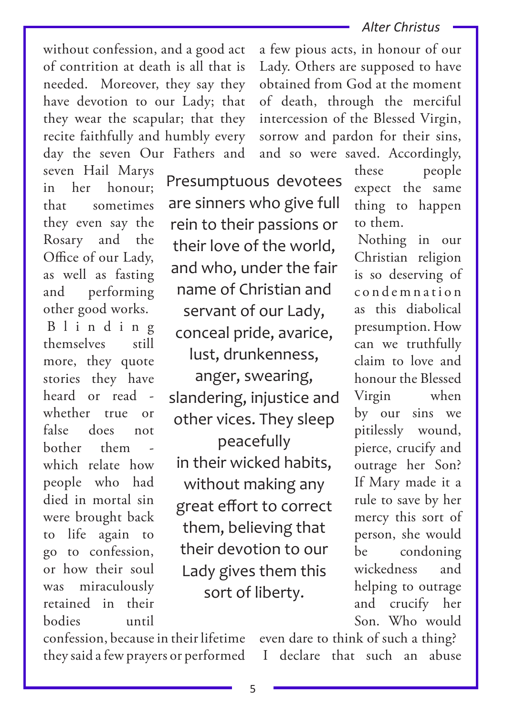without confession, and a good act of contrition at death is all that is needed. Moreover, they say they have devotion to our Lady; that they wear the scapular; that they recite faithfully and humbly every day the seven Our Fathers and

seven Hail Marys in her honour; that sometimes they even say the Rosary and the Office of our Lady, as well as fasting and performing other good works. B l i n d i n g themselves still more, they quote stories they have heard or read whether true or false does not bother them which relate how people who had died in mortal sin were brought back to life again to go to confession, or how their soul was miraculously retained in their bodies until

Presumptuous devotees are sinners who give full rein to their passions or their love of the world, and who, under the fair name of Christian and servant of our Lady, conceal pride, avarice, lust, drunkenness, anger, swearing, slandering, injustice and other vices. They sleep peacefully in their wicked habits, without making any great effort to correct them, believing that their devotion to our Lady gives them this sort of liberty.

a few pious acts, in honour of our Lady. Others are supposed to have obtained from God at the moment of death, through the merciful intercession of the Blessed Virgin, sorrow and pardon for their sins, and so were saved. Accordingly,

> these people expect the same thing to happen to them.

Nothing in our Christian religion is so deserving of c o n d e m n a t i o n as this diabolical presumption. How can we truthfully claim to love and honour the Blessed Virgin when by our sins we pitilessly wound, pierce, crucify and outrage her Son? If Mary made it a rule to save by her mercy this sort of person, she would be condoning wickedness and helping to outrage and crucify her Son. Who would

confession, because in their lifetime they said a few prayers or performed

even dare to think of such a thing? I declare that such an abuse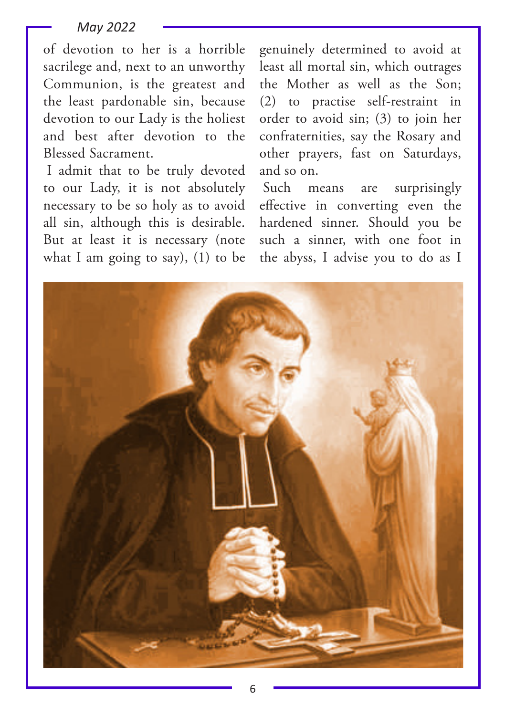of devotion to her is a horrible sacrilege and, next to an unworthy Communion, is the greatest and the least pardonable sin, because devotion to our Lady is the holiest and best after devotion to the Blessed Sacrament.

I admit that to be truly devoted to our Lady, it is not absolutely necessary to be so holy as to avoid all sin, although this is desirable. But at least it is necessary (note what I am going to say), (1) to be

genuinely determined to avoid at least all mortal sin, which outrages the Mother as well as the Son; (2) to practise self-restraint in order to avoid sin; (3) to join her confraternities, say the Rosary and other prayers, fast on Saturdays, and so on.

are surprisingly effective in converting even the hardened sinner. Should you be such a sinner, with one foot in the abyss, I advise you to do as I

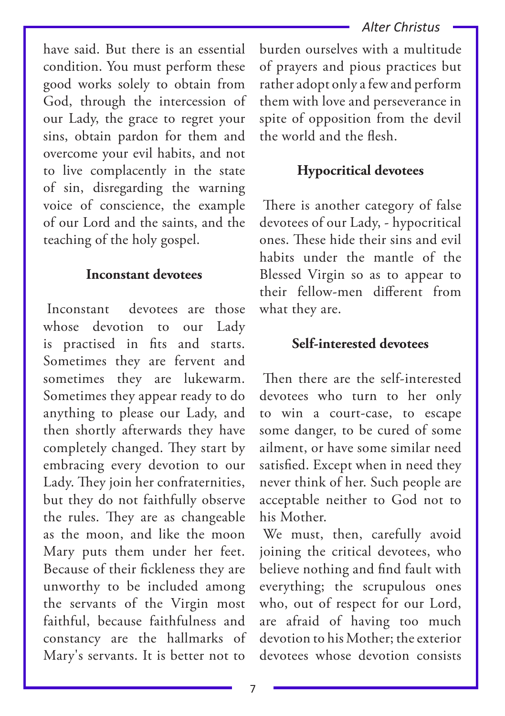have said. But there is an essential condition. You must perform these good works solely to obtain from God, through the intercession of our Lady, the grace to regret your sins, obtain pardon for them and overcome your evil habits, and not to live complacently in the state of sin, disregarding the warning voice of conscience, the example of our Lord and the saints, and the teaching of the holy gospel.

#### **Inconstant devotees**

Inconstant devotees are those whose devotion to our Lady is practised in fits and starts. Sometimes they are fervent and sometimes they are lukewarm. Sometimes they appear ready to do anything to please our Lady, and then shortly afterwards they have completely changed. They start by embracing every devotion to our Lady. They join her confraternities, but they do not faithfully observe the rules. They are as changeable as the moon, and like the moon Mary puts them under her feet. Because of their fickleness they are unworthy to be included among the servants of the Virgin most faithful, because faithfulness and constancy are the hallmarks of Mary's servants. It is better not to

burden ourselves with a multitude of prayers and pious practices but rather adopt only a few and perform them with love and perseverance in spite of opposition from the devil the world and the flesh.

#### **Hypocritical devotees**

There is another category of false devotees of our Lady, - hypocritical ones. These hide their sins and evil habits under the mantle of the Blessed Virgin so as to appear to their fellow-men different from what they are.

#### **Self-interested devotees**

Then there are the self-interested devotees who turn to her only to win a court-case, to escape some danger, to be cured of some ailment, or have some similar need satisfied. Except when in need they never think of her. Such people are acceptable neither to God not to his Mother.

We must, then, carefully avoid joining the critical devotees, who believe nothing and find fault with everything; the scrupulous ones who, out of respect for our Lord, are afraid of having too much devotion to his Mother; the exterior devotees whose devotion consists